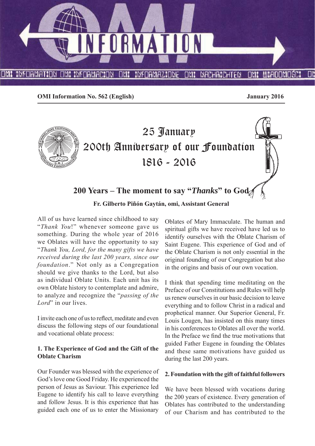

**OMI Information No. 562 (English) January 2016**



**200 Years – The moment to say "***Thanks***" to God**

**Fr. Gilberto Piñón Gaytán, omi, Assistant General**

All of us have learned since childhood to say "*Thank You*!" whenever someone gave us something. During the whole year of 2016 we Oblates will have the opportunity to say "*Thank You, Lord, for the many gifts we have received during the last 200 years, since our foundation*." Not only as a Congregation should we give thanks to the Lord, but also as individual Oblate Units. Each unit has its own Oblate history to contemplate and admire, to analyze and recognize the "*passing of the Lord*" in our lives.

I invite each one of us to reflect, meditate and even discuss the following steps of our foundational and vocational oblate process:

# **1. The Experience of God and the Gift of the Oblate Charism**

Our Founder was blessed with the experience of God's love one Good Friday. He experienced the person of Jesus as Saviour. This experience led Eugene to identify his call to leave everything and follow Jesus. It is this experience that has guided each one of us to enter the Missionary Oblates of Mary Immaculate. The human and spiritual gifts we have received have led us to identify ourselves with the Oblate Charism of Saint Eugene. This experience of God and of the Oblate Charism is not only essential in the original founding of our Congregation but also in the origins and basis of our own vocation.

I think that spending time meditating on the Preface of our Constitutions and Rules will help us renew ourselves in our basic decision to leave everything and to follow Christ in a radical and prophetical manner. Our Superior General, Fr. Louis Lougen, has insisted on this many times in his conferences to Oblates all over the world. In the Preface we find the true motivations that guided Father Eugene in founding the Oblates and these same motivations have guided us during the last 200 years.

#### **2. Foundation with the gift of faithful followers**

We have been blessed with vocations during the 200 years of existence. Every generation of Oblates has contributed to the understanding of our Charism and has contributed to the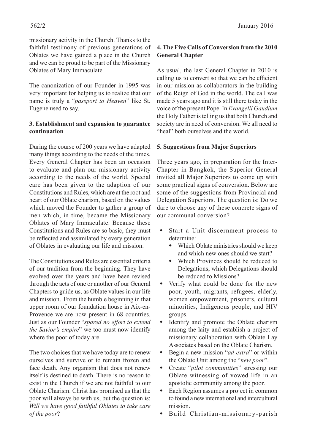The canonization of our Founder in 1995 was very important for helping us to realize that our name is truly a "*passport to Heaven*" like St. Eugene used to say.

#### **3. Establishment and expansion to guarantee continuation**

During the course of 200 years we have adapted many things according to the needs of the times. Every General Chapter has been an occasion to evaluate and plan our missionary activity according to the needs of the world. Special care has been given to the adaption of our Constitutions and Rules, which are at the root and heart of our Oblate charism, based on the values which moved the Founder to gather a group of men which, in time, became the Missionary Oblates of Mary Immaculate. Because these Constitutions and Rules are so basic, they must be reflected and assimilated by every generation of Oblates in evaluating our life and mission.

The Constitutions and Rules are essential criteria of our tradition from the beginning. They have evolved over the years and have been revised through the acts of one or another of our General Chapters to guide us, as Oblate values in our life and mission. From the humble beginning in that upper room of our foundation house in Aix-en-Provence we are now present in 68 countries. Just as our Founder "spared no effort to extend *the Savior's empire*" we too must now identify where the poor of today are.

The two choices that we have today are to renew ourselves and survive or to remain frozen and face death. Any organism that does not renew itself is destined to death. There is no reason to exist in the Church if we are not faithful to our Oblate Charism. Christ has promised us that the poor will always be with us, but the question is: *Will we have good faithful Oblates to take care of the poor*?

# **4. The Five Calls of Conversion from the 2010 General Chapter**

As usual, the last General Chapter in 2010 is calling us to convert so that we can be efficient in our mission as collaborators in the building of the Reign of God in the world. The call was made 5 years ago and it is still there today in the voice of the present Pope. In *Evangelii Gaudium* the Holy Father is telling us that both Church and society are in need of conversion. We all need to "heal" both ourselves and the world.

#### **5. Suggestions from Major Superiors**

Three years ago, in preparation for the Inter-Chapter in Bangkok, the Superior General invited all Major Superiors to come up with some practical signs of conversion. Below are some of the suggestions from Provincial and Delegation Superiors. The question is: Do we dare to choose any of these concrete signs of our communal conversion?

- Start a Unit discernment process to determine:
	- Which Oblate ministries should we keep and which new ones should we start?
	- Which Provinces should be reduced to Delegations; which Delegations should be reduced to Missions?
- Verify what could be done for the new poor, youth, migrants, refugees, elderly, women empowerment, prisoners, cultural minorities, Indigenous people, and HIV groups.
- Identify and promote the Oblate charism among the laity and establish a project of missionary collaboration with Oblate Lay Associates based on the Oblate Charism.
- Begin a new mission "*ad extra*" or within the Oblate Unit among the "*new poor*".
- Create "*pilot communities*" stressing our Oblate witnessing of vowed life in an apostolic community among the poor.
- Each Region assumes a project in common to found a new international and intercultural mission.
- Build Christian-missionary-parish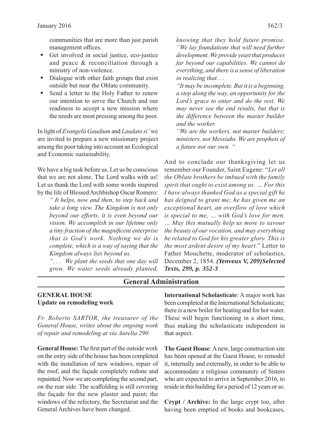communities that are more than just parish management offices.

- Get involved in social justice, eco-justice and peace & reconciliation through a ministry of non-violence.
- Dialogue with other faith groups that exist outside but near the Oblate community.
- Send a letter to the Holy Father to renew our intention to serve the Church and our readiness to accept a new mission where the needs are most pressing among the poor.

In light of *Evangelii Gaudium* and *Laudato si'* we are invited to prepare a new missionary project among the poor taking into account an Ecological and Economic sustainability.

We have a big task before us. Let us be conscious that we are not alone. The Lord walks with us! Let us thank the Lord with some words inspired by the life of Blessed Archbishop Oscar Romero:

> *" It helps, now and then, to step back and take a long view. The Kingdom is not only beyond our efforts, it is even beyond our vision. We accomplish in our lifetime only a tiny fraction of the magnifi cent enterprise that is God's work. Nothing we do is complete, which is a way of saying that the Kingdom always lies beyond us.*

> *". . . We plant the seeds that one day will grow. We water seeds already planted,*

*knowing that they hold future promise. "We lay foundations that will need further development. We provide yeast that produces far beyond our capabilities. We cannot do everything, and there is a sense of liberation in realizing that. . .* 

*"It may be incomplete. But it is a beginning, a step along the way, an opportunity for the Lord's grace to enter and do the rest. We may never see the end results, but that is the diff erence between the master builder and the worker.*

*"We are the workers, not master builders; ministers, not Messiahs. We are prophets of a future not our own. "*

And to conclude our thanksgiving let us remember our Founder, Saint Eugene: "*Let all the Oblate brothers be imbued with the family spirit that ought to exist among us. … For this I have always thanked God as a special gift he has deigned to grant me; he has given me an exceptional heart, an overflow of love which is special to me, … with God's love for men. … May this mutually help us more to savour the beauty of our vocation, and may everything be related to God for his greater glory. This is the most ardent desire of my heart.*" Letter to Father Mouchette, moderator of scholastics, December 2, 1854. *(Yenveux V, 209)Selected Texts, 299, p. 352-3* 

#### **General Administration**

#### **GENERAL HOUSE Update on remodeling work**

*Fr. Roberto SARTOR, the treasurer of the General House, writes about the ongoing work of repair and remodeling at via Aurelia 290.*

**General House:** The first part of the outside work on the entry side of the house has been completed with the installation of new windows, repair of the roof, and the façade completely redone and repainted. Now we are completing the second part, on the rear side. The scaffolding is still covering the façade for the new plaster and paint; the windows of the refectory, the Secretariat and the General Archives have been changed.

**International Scholasticate**: A major work has been completed at the International Scholasticate; there is a new boiler for heating and for hot water. These will begin functioning in a short time, thus making the scholasticate independent in that aspect.

**The Guest House**: A new, large construction site has been opened at the Guest House, to remodel it, internally and externally, in order to be able to accommodate a religious community of Sisters who are expected to arrive in September 2016, to reside in this building for a period of 12 years or so.

**Crypt / Archive:** In the large crypt too, after having been emptied of books and bookcases,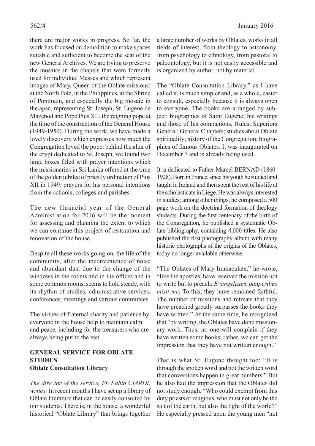there are major works in progress. So far, the work has focused on demolition to make spaces suitable and sufficient to become the seat of the new General Archives. We are trying to preserve the mosaics in the chapels that were formerly used for individual Masses and which represent images of Mary, Queen of the Oblate missions: at the North Pole, in the Philippines, at the Shrine of Pontmain, and especially the big mosaic in the apse, representing St. Joseph, St. Eugene de Mazenod and Pope Pius XII, the reigning pope at the time of the construction of the General House (1949-1950). During the work, we have made a lovely discovery which expresses how much the Congregation loved the pope: behind the altar of the crypt dedicated to St. Joseph, we found two large boxes filled with prayer intentions which the missionaries in Sri Lanka offered at the time of the golden jubilee of priestly ordination of Pius XII in 1949: prayers for his personal intentions from the schools, colleges and parishes.

The new financial year of the General Administration for 2016 will be the moment for assessing and planning the extent to which we can continue this project of restoration and renovation of the house.

Despite all these works going on, the life of the community, after the inconvenience of noise and abundant dust due to the change of the windows in the rooms and in the offices and in some common rooms, seems to hold steady, with its rhythm of studies, administrative services, conferences, meetings and various committees.

The virtues of fraternal charity and patience by everyone in the house help to maintain calm and peace, including for the treasurers who are always being put to the test.

#### **GENERAL SERVICE FOR OBLATE STUDIES Oblate Consultation Library**

*The director of the service, Fr. Fabio CIARDI, writes:* In recent months I have set up a library of Oblate literature that can be easily consulted by our students. There is, in the house, a wonderful historical "Oblate Library" that brings together a large number of works by Oblates, works in all fields of interest, from theology to astronomy, from psychology to ethnology, from pastoral to paleontology, but it is not easily accessible and is organized by author, not by material.

The "Oblate Consultation Library," as I have called it, is much simpler and, as a whole, easier to consult, especially because it is always open to everyone. The books are arranged by subject: biographies of Saint Eugene; his writings and those of his companions; Rules; Superiors General; General Chapters; studies about Oblate spirituality; history of the Congregation; biographies of famous Oblates. It was inaugurated on December 7 and is already being used.

It is dedicated to Father Marcel BERNAD (1860- 1928). Born in France, since his youth he studied and taught in Ireland and then spent the rest of his life at the scholasticate in Liege. He was always interested in studies; among other things, he composed a 500 page work on the doctrinal formation of theology students. During the first centenary of the birth of the Congregation, he published a systematic Oblate bibliography, containing 4,000 titles. He also published the first photography album with many historic photographs of the origins of the Oblates, today no longer available otherwise.

"The Oblates of Mary Immaculate," he wrote, "like the apostles, have received the mission not to write but to preach: *Evangelizare pauperibus misit me*. To this, they have remained faithful. The number of missions and retreats that they have preached greatly surpasses the books they have written." At the same time, he recognized that "by writing, the Oblates have done missionary work. Thus, no one will complain if they have written some books; rather, we can get the impression that they have not written enough."

That is what St. Eugene thought too: "It is through the spoken word and not the written word that conversions happen in great numbers." But he also had the impression that the Oblates did not study enough. "Who could exempt from this duty priests or religious, who must not only be the salt of the earth, but also the light of the world?" He especially pressed upon the young men "not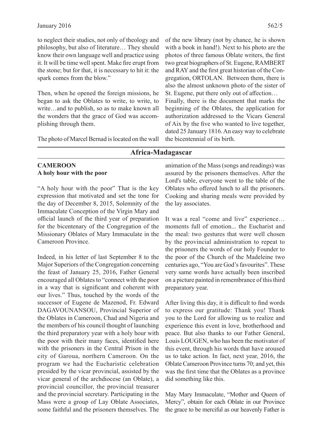to neglect their studies, not only of theology and philosophy, but also of literature… They should know their own language well and practice using it. It will be time well spent. Make fire erupt from the stone; but for that, it is necessary to hit it: the spark comes from the blow."

Then, when he opened the foreign missions, he began to ask the Oblates to write, to write, to write…and to publish, so as to make known all the wonders that the grace of God was accomplishing through them.

The photo of Marcel Bernad is located on the wall

of the new library (not by chance, he is shown with a book in hand!). Next to his photo are the photos of three famous Oblate writers, the first two great biographers of St. Eugene, RAMBERT and RAY and the first great historian of the Congregation, ORTOLAN. Between them, there is also the almost unknown photo of the sister of St. Eugene, put there only out of affection...

Finally, there is the document that marks the beginning of the Oblates, the application for authorization addressed to the Vicars General of Aix by the five who wanted to live together, dated 25 January 1816. An easy way to celebrate the bicentennial of its birth.

# **Africa-Madagascar**

#### **CAMEROON A holy hour with the poor**

"A holy hour with the poor" That is the key expression that motivated and set the tone for the day of December 8, 2015, Solemnity of the Immaculate Conception of the Virgin Mary and official launch of the third year of preparation for the bicentenary of the Congregation of the Missionary Oblates of Mary Immaculate in the Cameroon Province.

Indeed, in his letter of last September 8 to the Major Superiors of the Congregation concerning the feast of January 25, 2016, Father General encouraged all Oblates to "connect with the poor in a way that is significant and coherent with our lives." Thus, touched by the words of the successor of Eugene de Mazenod, Fr. Edward DAGAVOUNANSOU, Provincial Superior of the Oblates in Cameroon, Chad and Nigeria and the members of his council thought of launching the third preparatory year with a holy hour with the poor with their many faces, identified here with the prisoners in the Central Prison in the city of Garoua, northern Cameroon. On the program we had the Eucharistic celebration presided by the vicar provincial, assisted by the vicar general of the archdiocese (an Oblate), a provincial councillor, the provincial treasurer and the provincial secretary. Participating in the Mass were a group of Lay Oblate Associates, some faithful and the prisoners themselves. The

animation of the Mass (songs and readings) was assured by the prisoners themselves. After the Lord's table, everyone went to the table of the Oblates who offered lunch to all the prisoners. Cooking and sharing meals were provided by the lay associates.

It was a real "come and live" experience... moments full of emotion... the Eucharist and the meal: two gestures that were well chosen by the provincial administration to repeat to the prisoners the words of our holy Founder to the poor of the Church of the Madeleine two centuries ago, "You are God's favourites". These very same words have actually been inscribed on a picture painted in remembrance of this third preparatory year.

After living this day, it is difficult to find words to express our gratitude: Thank you! Thank you to the Lord for allowing us to realize and experience this event in love, brotherhood and peace. But also thanks to our Father General, Louis LOUGEN, who has been the motivator of this event, through his words that have aroused us to take action. In fact, next year, 2016, the Oblate Cameroon Province turns 70; and yet, this was the first time that the Oblates as a province did something like this.

May Mary Immaculate, "Mother and Queen of Mercy", obtain for each Oblate in our Province the grace to be merciful as our heavenly Father is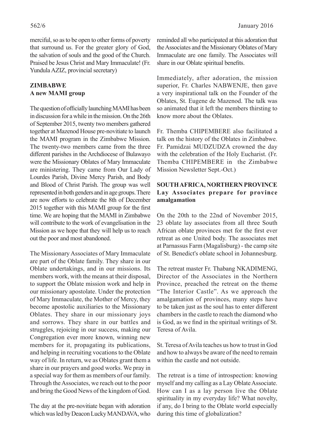merciful, so as to be open to other forms of poverty that surround us. For the greater glory of God, the salvation of souls and the good of the Church. Praised be Jesus Christ and Mary Immaculate! (Fr. Yundula AZIZ, provincial secretary)

# **ZIMBABWE A new MAMI group**

The question of officially launching MAMI has been in discussion for a while in the mission. On the 26th of September 2015, twenty two members gathered together at Mazenod House pre-novitiate to launch the MAMI program in the Zimbabwe Mission. The twenty-two members came from the three different parishes in the Archdiocese of Bulawayo were the Missionary Oblates of Mary Immaculate are ministering. They came from Our Lady of Lourdes Parish, Divine Mercy Parish, and Body and Blood of Christ Parish. The group was well represented in both genders and in age groups. There are now efforts to celebrate the 8th of December 2015 together with this MAMI group for the first time. We are hoping that the MAMI in Zimbabwe will contribute to the work of evangelisation in the Mission as we hope that they will help us to reach out the poor and most abandoned.

The Missionary Associates of Mary Immaculate are part of the Oblate family. They share in our Oblate undertakings, and in our missions. Its members work, with the means at their disposal, to support the Oblate mission work and help in our missionary apostolate. Under the protection of Mary Immaculate, the Mother of Mercy, they become apostolic auxiliaries to the Missionary Oblates. They share in our missionary joys and sorrows. They share in our battles and struggles, rejoicing in our success, making our Congregation ever more known, winning new members for it, propagating its publications, and helping in recruiting vocations to the Oblate way of life. In return, we as Oblates grant them a share in our prayers and good works. We pray in a special way for them as members of our family. Through the Associates, we reach out to the poor and bring the Good News of the kingdom of God.

The day at the pre-novitiate began with adoration which was led by Deacon Lucky MANDAVA, who

reminded all who participated at this adoration that the Associates and the Missionary Oblates of Mary Immaculate are one family. The Associates will share in our Oblate spiritual benefits.

Immediately, after adoration, the mission superior, Fr. Charles NABWENJE, then gave a very inspirational talk on the Founder of the Oblates, St. Eugene de Mazenod. The talk was so animated that it left the members thirsting to know more about the Oblates.

Fr. Themba CHIPEMBERE also facilitated a talk on the history of the Oblates in Zimbabwe. Fr. Pamidzai MUDZUDZA crowned the day with the celebration of the Holy Eucharist. (Fr. Themba CHIPEMBERE in the Zimbabwe Mission Newsletter Sept.-Oct.)

#### **SOUTH AFRICA, NORTHERN PROVINCE Lay Associates prepare for province amalgamation**

On the 20th to the 22nd of November 2015, 23 oblate lay associates from all three South African oblate provinces met for the first ever retreat as one United body. The associates met at Parnassus Farm (Magalisburg) - the camp site of St. Benedict's oblate school in Johannesburg.

The retreat master Fr. Thabang NKADIMENG, Director of the Associates in the Northern Province, preached the retreat on the theme "The Interior Castle". As we approach the amalgamation of provinces, many steps have to be taken just as the soul has to enter different chambers in the castle to reach the diamond who is God, as we find in the spiritual writings of St. Teresa of Avila.

St. Teresa of Avila teaches us how to trust in God and how to always be aware of the need to remain within the castle and not outside.

The retreat is a time of introspection: knowing myself and my calling as a Lay Oblate Associate. How can I as a lay person live the Oblate spirituality in my everyday life? What novelty, if any, do I bring to the Oblate world especially during this time of globalization?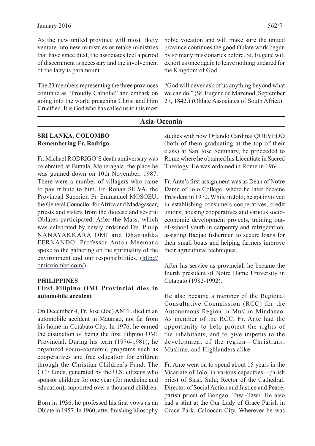As the new united province will most likely venture into new ministries or retake ministries that have since died, the associates feel a period of discernment is necessary and the involvement of the laity is paramount.

The 23 members representing the three provinces continue as "Proudly Catholic" and embark on going into the world preaching Christ and Him Crucified. It is God who has called us to this most noble vocation and will make sure the united province continues the good Oblate work begun by so many missionaries before. St. Eugene will exhort us once again to leave nothing undared for the Kingdom of God.

"God will never ask of us anything beyond what we can do." (St. Eugene de Mazenod, September 27, 1842.) (Oblate Associates of South Africa)

### **Asia-Oceania**

#### **SRI LANKA, COLOMBO Remembering Fr. Rodrigo**

Fr. Michael RODRIGO'S death anniversary was celebrated at Buttala, Moneragala, the place he was gunned down on 10th November, 1987. There were a number of villagers who came to pay tribute to him. Fr. Rohan SILVA, the Provincial Superior, Fr. Emmanuel MOSOEU, the General Councilor for Africa and Madagascar, priests and sisters from the diocese and several Oblates participated. After the Mass, which was celebrated by newly ordained Frs. Philip NANAYAKKARA OMI and Dhanushka FERNANDO. Professor Anton Meemana spoke to the gathering on the spirituality of the environment and our responsibilities. (http:// omicolombo.com/)

#### **PHILIPPINES**

#### **First Filipino OMI Provincial dies in automobile accident**

On December 4, Fr. Jose (Joe) ANTE died in an automobile accident in Matanao, not far from his home in Cotabato City. In 1976, he earned the distinction of being the first Filipino OMI Provincial. During his term (1976-1981), he organized socio-economic programs such as cooperatives and free education for children through the Christian Children's Fund. The CCF funds, generated by the U.S. citizens who sponsor children for one year (for medicine and education), supported over a thousand children.

Born in 1936, he professed his first vows as an Oblate in 1957. In 1960, after finishing hilosophy

studies with now Orlando Cardinal QUEVEDO (both of them graduating at the top of their class) at San Jose Seminary, he proceeded to Rome where he obtained his Licentiate in Sacred Theology. He was ordained in Rome in 1964.

Fr. Ante's first assignment was as Dean of Notre Dame of Jolo College, where he later became President in 1972. While in Jolo, he got involved in establishing consumers cooperatives, credit unions, housing cooperatives and various socioeconomic development projects, training outof-school youth in carpentry and refrigeration, assisting Badjao fishermen to secure loans for their small boats and helping farmers improve their agricultural techniques.

After his service as provincial, he became the fourth president of Notre Dame University in Cotabato (1982-1992).

He also became a member of the Regional Consultative Commission (RCC) for the Autonomous Region in Muslim Mindanao. As member of the RCC, Fr. Ante had the opportunity to help protect the rights of the inhabitants, and to give impetus to the development of the region—Christians, Muslims, and Highlanders alike.

Fr. Ante went on to spend about 15 years in the Vicariate of Jolo, in various capacities—parish priest of Siasi, Sulu; Rector of the Cathedral; Director of Social Action and Justice and Peace; parish priest of Bongao, Tawi-Tawi. He also had a stint at the Our Lady of Grace Parish in Grace Park, Caloocan City. Wherever he was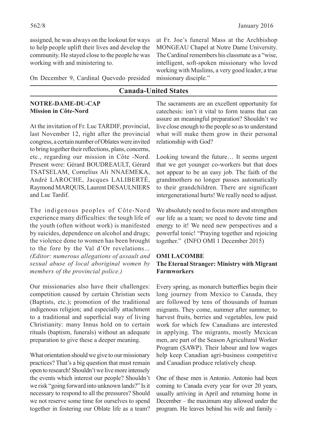assigned, he was always on the lookout for ways to help people uplift their lives and develop the community. He stayed close to the people he was working with and ministering to.

On December 9, Cardinal Quevedo presided

# **Canada-United States**

#### **NOTRE-DAME-DU-CAP Mission in Côte-Nord**

At the invitation of Fr. Luc TARDIF, provincial, last November 12, right after the provincial congress, a certain number of Oblates were invited to bring together their reflections, plans, concerns, etc., regarding our mission in Côte -Nord. Present were: Gérard BOUDREAULT, Gérard TSATSELAM, Cornelius Ali NNAEMEKA, André LAROCHE, Jacques LALIBERTÉ, Raymond MARQUIS, Laurent DESAULNIERS and Luc Tardif.

The indigenous peoples of Côte-Nord experience many difficulties: the tough life of the youth (often without work) is manifested by suicides, dependence on alcohol and drugs; the violence done to women has been brought to the fore by the Val d'Or revelations*… (Editor: numerous allegations of assault and sexual abuse of local aboriginal women by members of the provincial police.)*

Our missionaries also have their challenges: competition caused by certain Christian sects (Baptists, etc.); promotion of the traditional indigenous religion; and especially attachment to a traditional and superficial way of living Christianity: many Innus hold on to certain rituals (baptism, funerals) without an adequate preparation to give these a deeper meaning.

What orientation should we give to our missionary practices? That's a big question that must remain open to research! Shouldn't we live more intensely the events which interest our people? Shouldn't we risk "going forward into unknown lands?" Is it necessary to respond to all the pressures? Should we not reserve some time for ourselves to spend together in fostering our Oblate life as a team?

The sacraments are an excellent opportunity for catechesis: isn't it vital to form teams that can assure an meaningful preparation? Shouldn't we working with Muslims, a very good leader, a true missionary disciple."

at Fr. Joe's funeral Mass at the Archbishop MONGEAU Chapel at Notre Dame University. The Cardinal remembers his classmate as a "wise, intelligent, soft-spoken missionary who loved

live close enough to the people so as to understand what will make them grow in their personal relationship with God?

Looking toward the future… It seems urgent that we get younger co-workers but that does not appear to be an easy job. The faith of the grandmothers no longer passes automatically to their grandchildren. There are significant intergenerational hurts! We really need to adjust.

We absolutely need to focus more and strengthen our life as a team; we need to devote time and energy to it! We need new perspectives and a powerful tonic! "Praying together and rejoicing together." (INFO OMI 1 December 2015)

#### **OMI LACOMBE The Eternal Stranger: Ministry with Migrant Farmworkers**

Every spring, as monarch butterflies begin their long journey from Mexico to Canada, they are followed by tens of thousands of human migrants. They come, summer after summer, to harvest fruits, berries and vegetables, low paid work for which few Canadians are interested in applying. The migrants, mostly Mexican men, are part of the Season Agricultural Worker Program (SAWP). Their labour and low wages help keep Canadian agri-business competitive and Canadian produce relatively cheap.

One of these men is Antonio. Antonio had been coming to Canada every year for over 20 years, usually arriving in April and returning home in December – the maximum stay allowed under the program. He leaves behind his wife and family –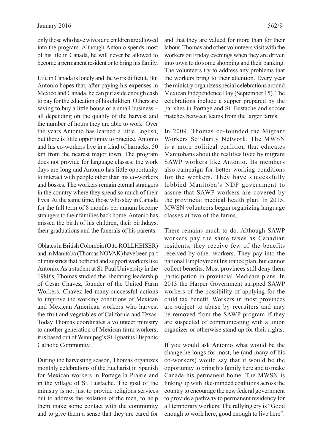only those who have wives and children are allowed into the program. Although Antonio spends most of his life in Canada, he will never be allowed to become a permanent resident or to bring his family.

Life in Canada is lonely and the work difficult. But Antonio hopes that, after paying his expenses in Mexico and Canada, he can put aside enough cash to pay for the education of his children. Others are saving to buy a little house or a small business – all depending on the quality of the harvest and the number of hours they are able to work. Over the years Antonio has learned a little English, but there is little opportunity to practice. Antonio and his co-workers live in a kind of barracks, 50 km from the nearest major town. The program does not provide for language classes; the work days are long and Antonio has little opportunity to interact with people other than his co-workers and bosses. The workers remain eternal strangers in the country where they spend so much of their lives. At the same time, those who stay in Canada for the full term of 8 months per annum become strangers to their families back home. Antonio has missed the birth of his children, their birthdays, their graduations and the funerals of his parents.

Oblates in British Colombia (Otto ROLLHEISER) and in Manitoba (Thomas NOVAK) have been part of ministries that befriend and support workers like Antonio. As a student at St. Paul University in the 1980's, Thomas studied the liberating leadership of Cesar Chavez, founder of the United Farm Workers. Chavez led many successful actions to improve the working conditions of Mexican and Mexican American workers who harvest the fruit and vegetables of California and Texas. Today Thomas coordinates a volunteer ministry to another generation of Mexican farm workers; it is based out of Winnipeg's St. Ignatius Hispanic Catholic Community.

During the harvesting season, Thomas organizes monthly celebrations of the Eucharist in Spanish for Mexican workers in Portage la Prairie and in the village of St. Eustache. The goal of the ministry is not just to provide religious services but to address the isolation of the men, to help them make some contact with the community and to give them a sense that they are cared for

and that they are valued for more than for their labour. Thomas and other volunteers visit with the workers on Friday evenings when they are driven into town to do some shopping and their banking. The volunteers try to address any problems that the workers bring to their attention. Every year the ministry organizes special celebrations around Mexican Independence Day (September 15). The celebrations include a supper prepared by the parishes in Portage and St. Eustache and soccer matches between teams from the larger farms.

In 2009, Thomas co-founded the Migrant Workers Solidarity Network. The MWSN is a more political coalition that educates Manitobans about the realities lived by migrant SAWP workers like Antonio. Its members also campaign for better working conditions for the workers. They have successfully lobbied Manitoba's NDP government to assure that SAWP workers are covered by the provincial medical health plan. In 2015, MWSN volunteers began organizing language classes at two of the farms.

There remains much to do. Although SAWP workers pay the same taxes as Canadian residents, they receive few of the benefits received by other workers. They pay into the national Employment Insurance plan, but cannot collect benefits. Most provinces still deny them participation in provincial Medicare plans. In 2013 the Harper Government stripped SAWP workers of the possibility of applying for the child tax benefit. Workers in most provinces are subject to abuse by recruiters and may be removed from the SAWP program if they are suspected of communicating with a union organizer or otherwise stand up for their rights.

If you would ask Antonio what would be the change he longs for most, he (and many of his co-workers) would say that it would be the opportunity to bring his family here and to make Canada his permanent home. The MWSN is linking up with like-minded coalitions across the country to encourage the new federal government to provide a pathway to permanent residency for all temporary workers. The rallying cry is "Good enough to work here, good enough to live here".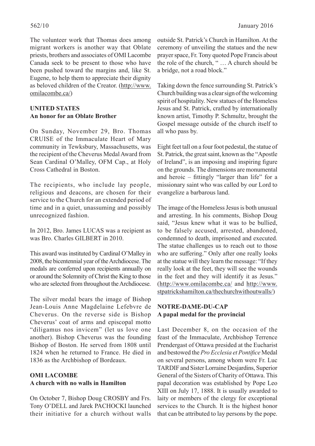The volunteer work that Thomas does among migrant workers is another way that Oblate priests, brothers and associates of OMI Lacombe Canada seek to be present to those who have been pushed toward the margins and, like St. Eugene, to help them to appreciate their dignity as beloved children of the Creator. (http://www. omilacombe.ca/)

# **UNITED STATES An honor for an Oblate Brother**

On Sunday, November 29, Bro. Thomas CRUISE of the Immaculate Heart of Mary community in Tewksbury, Massachusetts, was the recipient of the Cheverus Medal Award from Sean Cardinal O'Malley, OFM Cap., at Holy Cross Cathedral in Boston.

The recipients, who include lay people, religious and deacons, are chosen for their service to the Church for an extended period of time and in a quiet, unassuming and possibly unrecognized fashion.

In 2012, Bro. James LUCAS was a recipient as was Bro. Charles GILBERT in 2010.

This award was instituted by Cardinal O'Malley in 2008, the bicentennial year of the Archdiocese. The medals are conferred upon recipients annually on or around the Solemnity of Christ the King to those who are selected from throughout the Archdiocese.

The silver medal bears the image of Bishop Jean-Louis Anne Magdelaine Lefebvre de Cheverus. On the reverse side is Bishop Cheverus' coat of arms and episcopal motto "diligamus nos invicem" (let us love one another). Bishop Cheverus was the founding Bishop of Boston. He served from 1808 until 1824 when he returned to France. He died in 1836 as the Archbishop of Bordeaux.

# **OMI LACOMBE A church with no walls in Hamilton**

On October 7, Bishop Doug CROSBY and Frs. Tony O'DELL and Jarek PACHOCKI launched their initiative for a church without walls outside St. Patrick's Church in Hamilton. At the ceremony of unveiling the statues and the new prayer space, Fr. Tony quoted Pope Francis about the role of the church, " … A church should be a bridge, not a road block."

Taking down the fence surrounding St. Patrick's Church building was a clear sign of the welcoming spirit of hospitality. New statues of the Homeless Jesus and St. Patrick, crafted by internationally known artist, Timothy P. Schmultz, brought the Gospel message outside of the church itself to all who pass by.

Eight feet tall on a four foot pedestal, the statue of St. Patrick, the great saint, known as the "Apostle of Ireland", is an imposing and inspiring figure on the grounds. The dimensions are monumental and heroic – fittingly "larger than life" for a missionary saint who was called by our Lord to evangelize a barbarous land.

The image of the Homeless Jesus is both unusual and arresting. In his comments, Bishop Doug said, "Jesus knew what it was to be bullied, to be falsely accused, arrested, abandoned, condemned to death, imprisoned and executed. The statue challenges us to reach out to those who are suffering." Only after one really looks at the statue will they learn the message: "If they really look at the feet, they will see the wounds in the feet and they will identify it as Jesus." (http://www.omilacombe.ca/ and http://www. stpatrickshamilton.ca/thechurchwithoutwalls/)

# **NOTRE-DAME-DU-CAP A papal medal for the provincial**

Last December 8, on the occasion of the feast of the Immaculate, Archbishop Terrence Prendergast of Ottawa presided at the Eucharist and bestowed the Pro Ecclesia et Pontifice Medal on several persons, among whom were Fr. Luc TARDIF and Sister Lorraine Desjardins, Superior General of the Sisters of Charity of Ottawa. This papal decoration was established by Pope Leo XIII on July 17, 1888. It is usually awarded to laity or members of the clergy for exceptional services to the Church. It is the highest honor that can be attributed to lay persons by the pope.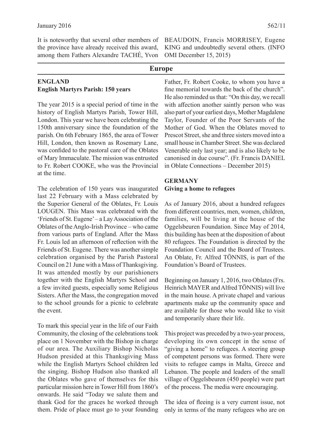It is noteworthy that several other members of the province have already received this award, among them Fathers Alexandre TACHÉ, Yvon

#### **ENGLAND English Martyrs Parish: 150 years**

The year 2015 is a special period of time in the history of English Martyrs Parish, Tower Hill, London. This year we have been celebrating the 150th anniversary since the foundation of the parish. On 6th February 1865, the area of Tower Hill, London, then known as Rosemary Lane, was confided to the pastoral care of the Oblates of Mary Immaculate. The mission was entrusted to Fr. Robert COOKE, who was the Provincial at the time.

The celebration of 150 years was inaugurated last 22 February with a Mass celebrated by the Superior General of the Oblates, Fr. Louis LOUGEN. This Mass was celebrated with the 'Friends of St. Eugene' – a Lay Association of the Oblates of the Anglo-Irish Province – who came from various parts of England. After the Mass Fr. Louis led an afternoon of reflection with the Friends of St. Eugene. There was another simple celebration organised by the Parish Pastoral Council on 21 June with a Mass of Thanksgiving. It was attended mostly by our parishioners together with the English Martyrs School and a few invited guests, especially some Religious Sisters. After the Mass, the congregation moved to the school grounds for a picnic to celebrate the event.

To mark this special year in the life of our Faith Community, the closing of the celebrations took place on 1 November with the Bishop in charge of our area. The Auxiliary Bishop Nicholas Hudson presided at this Thanksgiving Mass while the English Martyrs School children led the singing. Bishop Hudson also thanked all the Oblates who gave of themselves for this particular mission here in Tower Hill from 1860's onwards. He said "Today we salute them and thank God for the graces he worked through them. Pride of place must go to your founding BEAUDOIN, Francis MORRISEY, Eugene KING and undoubtedly several others. (INFO OMI December 15, 2015)

#### **Europe**

Father, Fr. Robert Cooke, to whom you have a fine memorial towards the back of the church". He also reminded us that: "On this day, we recall with affection another saintly person who was also part of your earliest days, Mother Magdalene Taylor, Founder of the Poor Servants of the Mother of God. When the Oblates moved to Prescot Street, she and three sisters moved into a small house in Chamber Street. She was declared Venerable only last year; and is also likely to be canonised in due course". (Fr. Francis DANIEL in Oblate Connections – December 2015)

#### **GERMANY Giving a home to refugees**

As of January 2016, about a hundred refugees from different countries, men, women, children, families, will be living at the house of the Oggelsbeuren Foundation. Since May of 2014, this building has been at the disposition of about 80 refugees. The Foundation is directed by the Foundation Council and the Board of Trustees. An Oblate, Fr. Alfred TÖNNIS, is part of the Foundation's Board of Trustees.

Beginning on January 1, 2016, two Oblates (Frs. Heinrich MAYER and Alfred TÖNNIS) will live in the main house. A private chapel and various apartments make up the community space and are available for those who would like to visit and temporarily share their life.

This project was preceded by a two-year process, developing its own concept in the sense of "giving a home" to refugees. A steering group of competent persons was formed. There were visits to refugee camps in Malta, Greece and Lebanon. The people and leaders of the small village of Oggelsbeuren (450 people) were part of the process. The media were encouraging.

The idea of fleeing is a very current issue, not only in terms of the many refugees who are on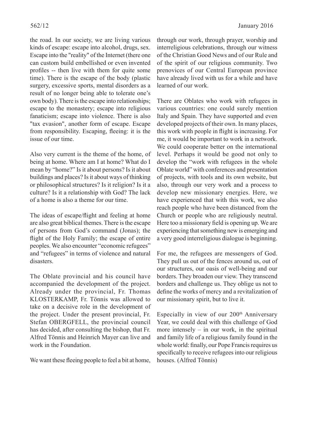the road. In our society, we are living various kinds of escape: escape into alcohol, drugs, sex. Escape into the "reality" of the Internet (there one can custom build embellished or even invented profiles -- then live with them for quite some time). There is the escape of the body (plastic surgery, excessive sports, mental disorders as a result of no longer being able to tolerate one's own body). There is the escape into relationships; escape to the monastery; escape into religious fanaticism; escape into violence. There is also "tax evasion", another form of escape. Escape from responsibility. Escaping, fleeing: it is the issue of our time.

Also very current is the theme of the home, of being at home. Where am I at home? What do I mean by "home?" Is it about persons? Is it about buildings and places? Is it about ways of thinking or philosophical structures? Is it religion? Is it a culture? Is it a relationship with God? The lack of a home is also a theme for our time.

The ideas of escape/flight and feeling at home are also great biblical themes. There is the escape of persons from God's command (Jonas); the flight of the Holy Family; the escape of entire peoples. We also encounter "economic refugees" and "refugees" in terms of violence and natural disasters.

The Oblate provincial and his council have accompanied the development of the project. Already under the provincial, Fr. Thomas KLOSTERKAMP, Fr. Tönnis was allowed to take on a decisive role in the development of the project. Under the present provincial, Fr. Stefan OBERGFELL, the provincial council has decided, after consulting the bishop, that Fr. Alfred Tönnis and Heinrich Mayer can live and work in the Foundation.

We want these fleeing people to feel a bit at home,

through our work, through prayer, worship and interreligious celebrations, through our witness of the Christian Good News and of our Rule and of the spirit of our religious community. Two prenovices of our Central European province have already lived with us for a while and have learned of our work.

There are Oblates who work with refugees in various countries: one could surely mention Italy and Spain. They have supported and even developed projects of their own. In many places, this work with people in flight is increasing. For me, it would be important to work in a network. We could cooperate better on the international level. Perhaps it would be good not only to develop the "work with refugees in the whole Oblate world" with conferences and presentation of projects, with tools and its own website, but also, through our very work and a process to develop new missionary energies. Here, we have experienced that with this work, we also reach people who have been distanced from the Church or people who are religiously neutral. Here too a missionary field is opening up. We are experiencing that something new is emerging and a very good interreligious dialogue is beginning.

For me, the refugees are messengers of God. They pull us out of the fences around us, out of our structures, our oasis of well-being and our borders. They broaden our view. They transcend borders and challenge us. They oblige us not to define the works of mercy and a revitalization of our missionary spirit, but to live it.

Especially in view of our 200th Anniversary Year, we could deal with this challenge of God more intensely  $-$  in our work, in the spiritual and family life of a religious family found in the whole world: finally, our Pope Francis requires us specifically to receive refugees into our religious houses. (Alfred Tönnis)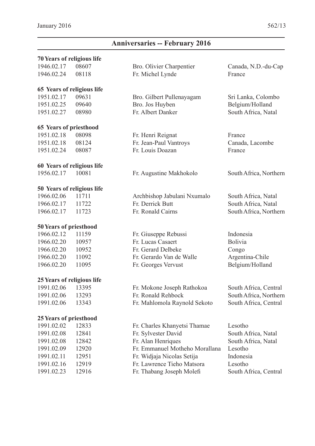# **Anniversaries -- February 2016**

#### **70Years of religious life**

1946.02.17 08607 Bro. Olivier Charpentier Canada, N.D.-du-Cap

#### **65 Years of religious life**

#### **65 Years of priesthood**

 1951.02.18 08098 Fr. Henri Reignat France 1951.02.18 08124 Fr. Jean-Paul Vantroys Canada, Lacombe 1951.02.24 08087 Fr. Louis Doazan France

#### **60 Years of religious life**

#### **50 Years of religious life**

#### **50Years of priesthood**

1966.02.20 11095 Fr. Georges Vervust Belgium/Holland

#### **25Years of religious life**

#### **25Years of priesthood**

| 12833 |
|-------|
| 12841 |
| 12842 |
| 12920 |
| 12951 |
| 12919 |
| 12916 |
|       |

1946.02.24 08118 Fr. Michel Lynde France

 1951.02.17 09631 Bro. Gilbert Pullenayagam Sri Lanka, Colombo 1951.02.25 09640 Bro. Jos Huyben Belgium/Holland 1951.02.27 08980 Fr. Albert Danker South Africa, Natal

1956.02.17 10081 Fr. Augustine Makhokolo South Africa, Northern

 1966.02.06 11711 Archbishop Jabulani Nxumalo South Africa, Natal 1966.02.17 11722 Fr. Derrick Butt South Africa, Natal 1966.02.17 11723 Fr. Ronald Cairns South Africa, Northern

1966.02.12 11159 Fr. Giuseppe Rebussi Indonesia 1966.02.20 10957 Fr. Lucas Casaert Bolivia 1966.02.20 10952 Fr. Gerard Delbeke Congo 1966.02.20 11092 Fr. Gerardo Van de Walle Argentina-Chile

 1991.02.06 13395 Fr. Mokone Joseph Rathokoa South Africa, Central 1991.02.06 13293 Fr. Ronald Rehbock South Africa, Northern

1991.02.06 13343 Fr. Mahlomola Raynold Sekoto South Africa, Central

Fr. Charles Khanyetsi Thamae Lesotho Fr. Sylvester David South Africa, Natal Fr. Alan Henriques South Africa, Natal Fr. Emmanuel Motheho Morallana Lesotho 1991.02.11 12951 Fr. Widjaja Nicolas Setija Indonesia Fr. Lawrence Tieho Matsora Lesotho Fr. Thabang Joseph Molefi South Africa, Central